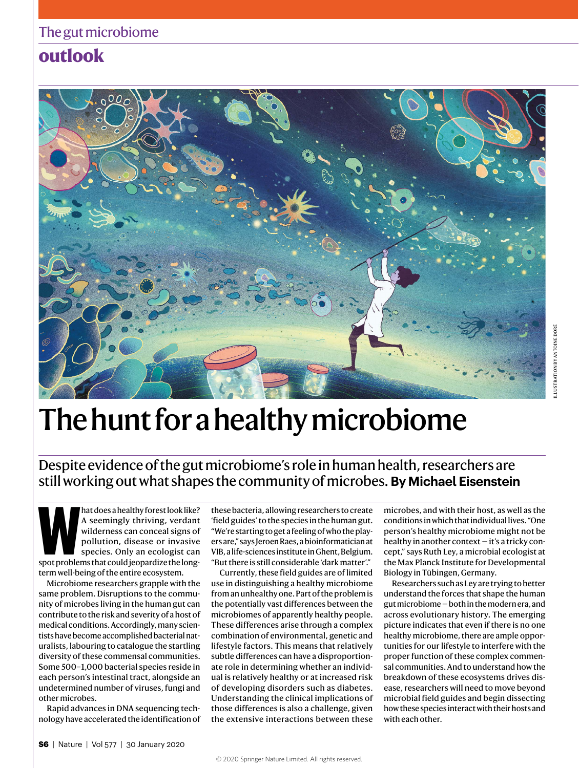## The gut microbiome

# **outlook**



# The hunt for a healthy microbiome

Despite evidence of the gut microbiome's role in human health, researchers are still working out what shapes the community of microbes. **By Michael Eisenstein**

hat does a healthy forest look like?<br>
A seemingly thriving, verdant<br>
wilderness can conceal signs of<br>
pollution, disease or invasive<br>
species. Only an ecologist can<br>
spot problems that could jeopardize the long-A seemingly thriving, verdant wilderness can conceal signs of pollution, disease or invasive species. Only an ecologist can term well-being of the entire ecosystem.

Microbiome researchers grapple with the same problem. Disruptions to the community of microbes living in the human gut can contribute to the risk and severity of a host of medical conditions. Accordingly, many scientists have become accomplished bacterial naturalists, labouring to catalogue the startling diversity of these commensal communities. Some 500–1,000 bacterial species reside in each person's intestinal tract, alongside an undetermined number of viruses, fungi and other microbes.

Rapid advances in DNA sequencing technology have accelerated the identification of these bacteria, allowing researchers to create 'field guides' to the species in the human gut. "We're starting to get a feeling of who the players are," says Jeroen Raes, a bioinformatician at VIB, a life-sciences institute in Ghent, Belgium. "But there is still considerable 'dark matter'."

Currently, these field guides are of limited use in distinguishing a healthy microbiome from an unhealthy one. Part of the problem is the potentially vast differences between the microbiomes of apparently healthy people. These differences arise through a complex combination of environmental, genetic and lifestyle factors. This means that relatively subtle differences can have a disproportionate role in determining whether an individual is relatively healthy or at increased risk of developing disorders such as diabetes. Understanding the clinical implications of those differences is also a challenge, given the extensive interactions between these

microbes, and with their host, as well as the conditions in which that individual lives. "One person's healthy microbiome might not be healthy in another context – it's a tricky concept," says Ruth Ley, a microbial ecologist at the Max Planck Institute for Developmental Biology in Tübingen, Germany.

Researchers such as Ley are trying to better understand the forces that shape the human gut microbiome — both in the modern era, and across evolutionary history. The emerging picture indicates that even if there is no one healthy microbiome, there are ample opportunities for our lifestyle to interfere with the proper function of these complex commensal communities. And to understand how the breakdown of these ecosystems drives disease, researchers will need to move beyond microbial field guides and begin dissecting how these species interact with their hosts and with each other.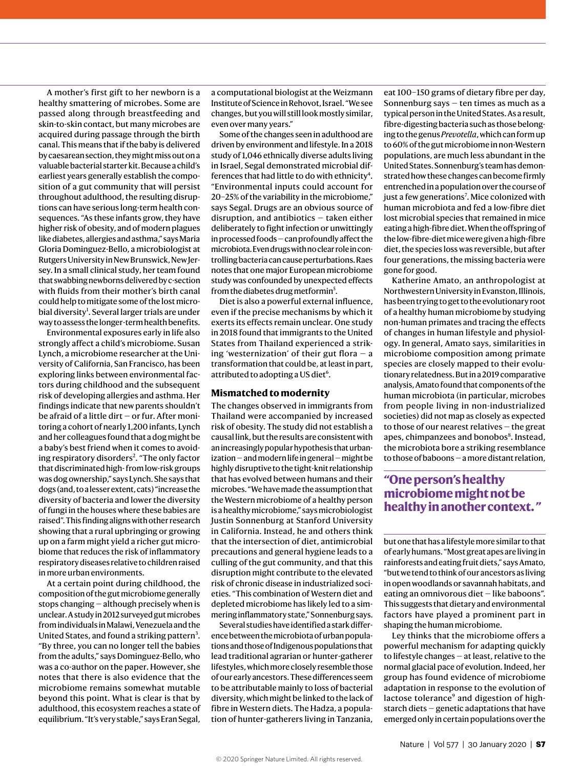A mother's first gift to her newborn is a healthy smattering of microbes. Some are passed along through breastfeeding and skin-to-skin contact, but many microbes are acquired during passage through the birth canal. This means that if the baby is delivered by caesarean section, they might miss out on a valuable bacterial starter kit. Because a child's earliest years generally establish the composition of a gut community that will persist throughout adulthood, the resulting disruptions can have serious long-term health consequences. "As these infants grow, they have higher risk of obesity, and of modern plagues like diabetes, allergies and asthma," says Maria Gloria Dominguez-Bello, a microbiologist at Rutgers University in New Brunswick, New Jersey. In a small clinical study, her team found that swabbing newborns delivered by c-section with fluids from their mother's birth canal could help to mitigate some of the lost microbial diversity<sup>1</sup>. Several larger trials are under way to assess the longer-term health benefits.

Environmental exposures early in life also strongly affect a child's microbiome. Susan Lynch, a microbiome researcher at the University of California, San Francisco, has been exploring links between environmental factors during childhood and the subsequent risk of developing allergies and asthma. Her findings indicate that new parents shouldn't be afraid of a little dirt — or fur. After monitoring a cohort of nearly 1,200 infants, Lynch and her colleagues found that a dog might be a baby's best friend when it comes to avoiding respiratory disorders<sup>2</sup>. "The only factor that discriminated high- from low-risk groups was dog ownership," says Lynch. She says that dogs (and, to a lesser extent, cats) "increase the diversity of bacteria and lower the diversity of fungi in the houses where these babies are raised". This finding aligns with other research showing that a rural upbringing or growing up on a farm might yield a richer gut microbiome that reduces the risk of inflammatory respiratory diseases relative to children raised in more urban environments.

At a certain point during childhood, the composition of the gut microbiome generally stops changing — although precisely when is unclear. A study in 2012 surveyed gut microbes from individuals in Malawi, Venezuela and the United States, and found a striking pattern<sup>3</sup>. "By three, you can no longer tell the babies from the adults," says Dominguez-Bello, who was a co-author on the paper. However, she notes that there is also evidence that the microbiome remains somewhat mutable beyond this point. What is clear is that by adulthood, this ecosystem reaches a state of equilibrium. "It's very stable," says Eran Segal,

a computational biologist at the Weizmann Institute of Science in Rehovot, Israel. "We see changes, but you will still look mostly similar, even over many years."

Some of the changes seen in adulthood are driven by environment and lifestyle. In a 2018 study of 1,046 ethnically diverse adults living in Israel, Segal demonstrated microbial differences that had little to do with ethnicity<sup>4</sup>. "Environmental inputs could account for 20–25% of the variability in the microbiome," says Segal. Drugs are an obvious source of disruption, and antibiotics — taken either deliberately to fight infection or unwittingly in processed foods — can profoundly affect the microbiota. Even drugs with no clear role in controlling bacteria can cause perturbations. Raes notes that one major European microbiome study was confounded by unexpected effects from the diabetes drug metformin<sup>5</sup>.

Diet is also a powerful external influence, even if the precise mechanisms by which it exerts its effects remain unclear. One study in 2018 found that immigrants to the United States from Thailand experienced a striking 'westernization' of their gut flora  $-$  a transformation that could be, at least in part, attributed to adopting a US diet $^6$ .

#### **Mismatched to modernity**

The changes observed in immigrants from Thailand were accompanied by increased risk of obesity. The study did not establish a causal link, but the results are consistent with an increasingly popular hypothesis that urbanization — and modern life in general — might be highly disruptive to the tight-knit relationship that has evolved between humans and their microbes. "We have made the assumption that the Western microbiome of a healthy person is a healthy microbiome," says microbiologist Justin Sonnenburg at Stanford University in California. Instead, he and others think that the intersection of diet, antimicrobial precautions and general hygiene leads to a culling of the gut community, and that this disruption might contribute to the elevated risk of chronic disease in industrialized societies. "This combination of Western diet and depleted microbiome has likely led to a simmering inflammatory state," Sonnenburg says.

Several studies have identified a stark difference between the microbiota of urban populations and those of Indigenous populations that lead traditional agrarian or hunter-gatherer lifestyles, which more closely resemble those of our early ancestors. These differences seem to be attributable mainly to loss of bacterial diversity, which might be linked to the lack of fibre in Western diets. The Hadza, a population of hunter-gatherers living in Tanzania, eat 100–150 grams of dietary fibre per day, Sonnenburg says — ten times as much as a typical person in the United States. As a result, fibre-digesting bacteria such as those belonging to the genus *Prevotella*, which can form up to 60% of the gut microbiome in non-Western populations, are much less abundant in the United States. Sonnenburg's team has demonstrated how these changes can become firmly entrenched in a population over the course of just a few generations<sup>7</sup>. Mice colonized with human microbiota and fed a low-fibre diet lost microbial species that remained in mice eating a high-fibre diet. When the offspring of the low-fibre-diet mice were given a high-fibre diet, the species loss was reversible, but after four generations, the missing bacteria were gone for good.

Katherine Amato, an anthropologist at Northwestern University in Evanston, Illinois, has been trying to get to the evolutionary root of a healthy human microbiome by studying non-human primates and tracing the effects of changes in human lifestyle and physiology. In general, Amato says, similarities in microbiome composition among primate species are closely mapped to their evolutionary relatedness. But in a 2019 comparative analysis, Amato found that components of the human microbiota (in particular, microbes from people living in non-industrialized societies) did not map as closely as expected to those of our nearest relatives — the great apes, chimpanzees and bonobos<sup>8</sup>. Instead, the microbiota bore a striking resemblance to those of baboons — a more distant relation,

#### **"One person's healthy microbiome might not be healthy in another context. "**

but one that has a lifestyle more similar to that of early humans. "Most great apes are living in rainforests and eating fruit diets," says Amato, "but we tend to think of our ancestors as living in open woodlands or savannah habitats, and eating an omnivorous diet — like baboons". This suggests that dietary and environmental factors have played a prominent part in shaping the human microbiome.

Ley thinks that the microbiome offers a powerful mechanism for adapting quickly to lifestyle changes — at least, relative to the normal glacial pace of evolution. Indeed, her group has found evidence of microbiome adaptation in response to the evolution of lactose tolerance<sup>9</sup> and digestion of highstarch diets — genetic adaptations that have emerged only in certain populations over the